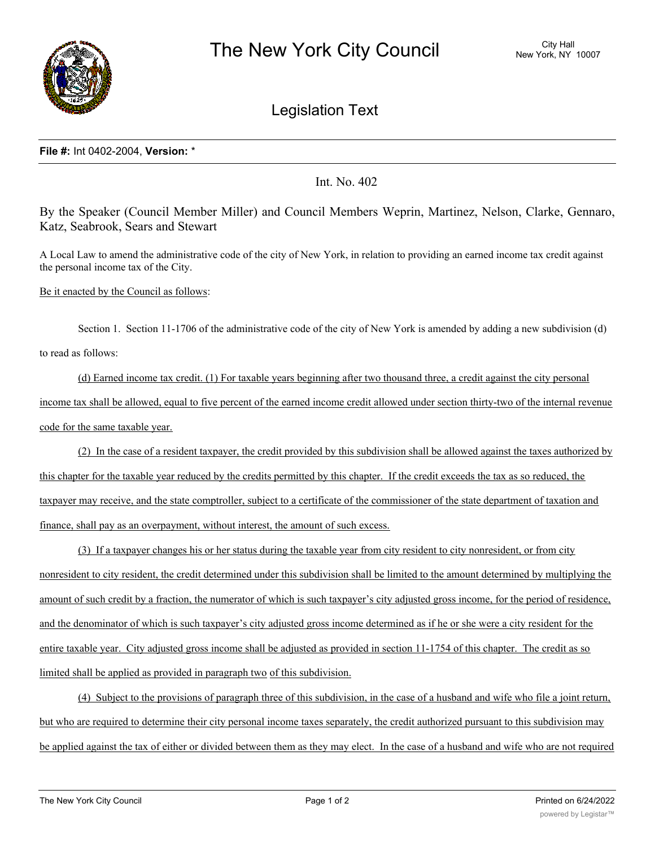

## Legislation Text

## **File #:** Int 0402-2004, **Version:** \*

Int. No. 402

By the Speaker (Council Member Miller) and Council Members Weprin, Martinez, Nelson, Clarke, Gennaro, Katz, Seabrook, Sears and Stewart

A Local Law to amend the administrative code of the city of New York, in relation to providing an earned income tax credit against the personal income tax of the City.

Be it enacted by the Council as follows:

Section 1. Section 11-1706 of the administrative code of the city of New York is amended by adding a new subdivision (d) to read as follows:

(d) Earned income tax credit. (1) For taxable years beginning after two thousand three, a credit against the city personal income tax shall be allowed, equal to five percent of the earned income credit allowed under section thirty-two of the internal revenue code for the same taxable year.

(2) In the case of a resident taxpayer, the credit provided by this subdivision shall be allowed against the taxes authorized by this chapter for the taxable year reduced by the credits permitted by this chapter. If the credit exceeds the tax as so reduced, the taxpayer may receive, and the state comptroller, subject to a certificate of the commissioner of the state department of taxation and finance, shall pay as an overpayment, without interest, the amount of such excess.

(3) If a taxpayer changes his or her status during the taxable year from city resident to city nonresident, or from city nonresident to city resident, the credit determined under this subdivision shall be limited to the amount determined by multiplying the amount of such credit by a fraction, the numerator of which is such taxpayer's city adjusted gross income, for the period of residence, and the denominator of which is such taxpayer's city adjusted gross income determined as if he or she were a city resident for the entire taxable year. City adjusted gross income shall be adjusted as provided in section 11-1754 of this chapter. The credit as so limited shall be applied as provided in paragraph two of this subdivision.

(4) Subject to the provisions of paragraph three of this subdivision, in the case of a husband and wife who file a joint return, but who are required to determine their city personal income taxes separately, the credit authorized pursuant to this subdivision may be applied against the tax of either or divided between them as they may elect. In the case of a husband and wife who are not required